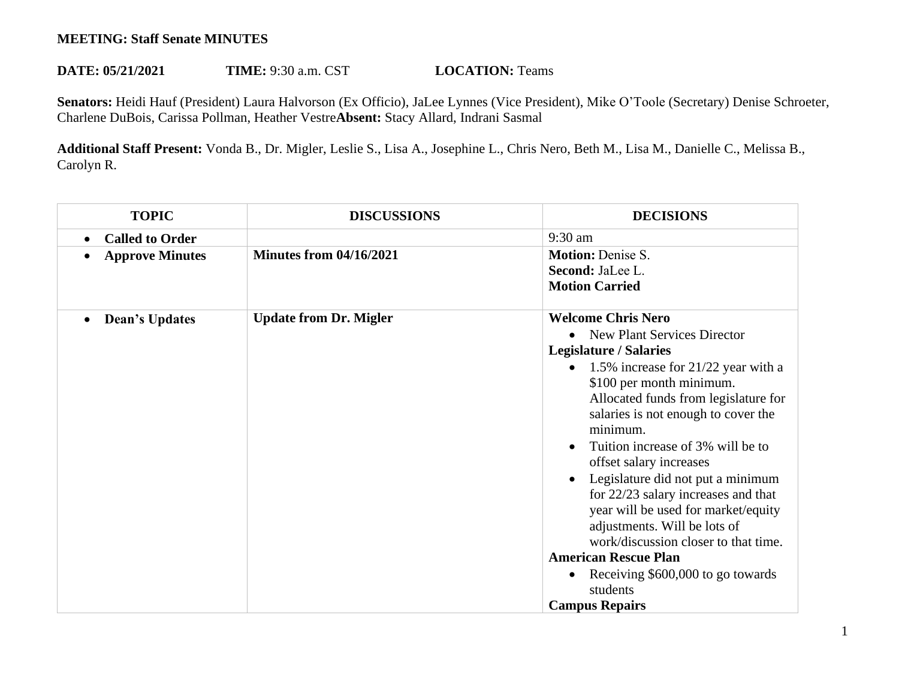## **MEETING: Staff Senate MINUTES**

## **DATE: 05/21/2021 TIME:** 9:30 a.m. CST **LOCATION:** Teams

**Senators:** Heidi Hauf (President) Laura Halvorson (Ex Officio), JaLee Lynnes (Vice President), Mike O'Toole (Secretary) Denise Schroeter, Charlene DuBois, Carissa Pollman, Heather Vestre**Absent:** Stacy Allard, Indrani Sasmal

**Additional Staff Present:** Vonda B., Dr. Migler, Leslie S., Lisa A., Josephine L., Chris Nero, Beth M., Lisa M., Danielle C., Melissa B., Carolyn R.

| <b>TOPIC</b>                       | <b>DISCUSSIONS</b>             | <b>DECISIONS</b>                                                         |
|------------------------------------|--------------------------------|--------------------------------------------------------------------------|
| <b>Called to Order</b>             |                                | 9:30 am                                                                  |
| <b>Approve Minutes</b>             | <b>Minutes from 04/16/2021</b> | <b>Motion: Denise S.</b>                                                 |
|                                    |                                | Second: JaLee L.                                                         |
|                                    |                                | <b>Motion Carried</b>                                                    |
| <b>Dean's Updates</b><br>$\bullet$ | <b>Update from Dr. Migler</b>  | <b>Welcome Chris Nero</b>                                                |
|                                    |                                | New Plant Services Director                                              |
|                                    |                                | <b>Legislature / Salaries</b>                                            |
|                                    |                                | 1.5% increase for 21/22 year with a<br>$\bullet$                         |
|                                    |                                | \$100 per month minimum.                                                 |
|                                    |                                | Allocated funds from legislature for                                     |
|                                    |                                | salaries is not enough to cover the                                      |
|                                    |                                | minimum.                                                                 |
|                                    |                                | Tuition increase of 3% will be to<br>offset salary increases             |
|                                    |                                |                                                                          |
|                                    |                                | Legislature did not put a minimum<br>for 22/23 salary increases and that |
|                                    |                                | year will be used for market/equity                                      |
|                                    |                                | adjustments. Will be lots of                                             |
|                                    |                                | work/discussion closer to that time.                                     |
|                                    |                                | <b>American Rescue Plan</b>                                              |
|                                    |                                | Receiving \$600,000 to go towards<br>$\bullet$                           |
|                                    |                                | students                                                                 |
|                                    |                                | <b>Campus Repairs</b>                                                    |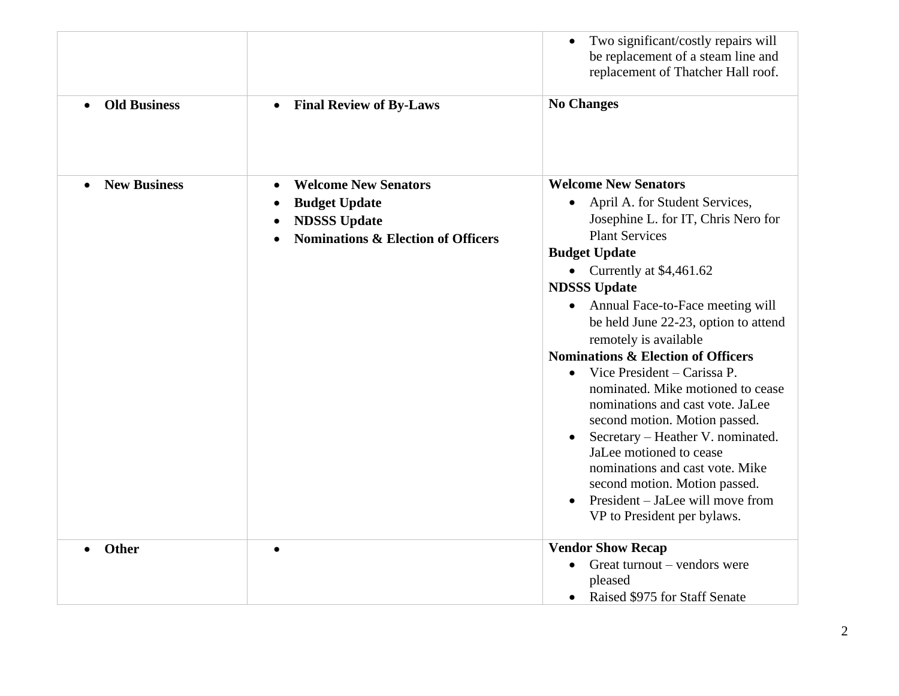|                                  |                                                                                                                             | Two significant/costly repairs will<br>be replacement of a steam line and<br>replacement of Thatcher Hall roof.                                                                                                                                                                                                                                                                                                                                                                                                                                                                                                                                                                                                                                         |
|----------------------------------|-----------------------------------------------------------------------------------------------------------------------------|---------------------------------------------------------------------------------------------------------------------------------------------------------------------------------------------------------------------------------------------------------------------------------------------------------------------------------------------------------------------------------------------------------------------------------------------------------------------------------------------------------------------------------------------------------------------------------------------------------------------------------------------------------------------------------------------------------------------------------------------------------|
| <b>Old Business</b><br>$\bullet$ | <b>Final Review of By-Laws</b><br>$\bullet$                                                                                 | <b>No Changes</b>                                                                                                                                                                                                                                                                                                                                                                                                                                                                                                                                                                                                                                                                                                                                       |
| <b>New Business</b>              | <b>Welcome New Senators</b><br><b>Budget Update</b><br><b>NDSSS Update</b><br><b>Nominations &amp; Election of Officers</b> | <b>Welcome New Senators</b><br>April A. for Student Services,<br>$\bullet$<br>Josephine L. for IT, Chris Nero for<br><b>Plant Services</b><br><b>Budget Update</b><br>• Currently at $$4,461.62$<br><b>NDSSS Update</b><br>Annual Face-to-Face meeting will<br>$\bullet$<br>be held June 22-23, option to attend<br>remotely is available<br><b>Nominations &amp; Election of Officers</b><br>Vice President - Carissa P.<br>$\bullet$<br>nominated. Mike motioned to cease<br>nominations and cast vote. JaLee<br>second motion. Motion passed.<br>Secretary – Heather V. nominated.<br>JaLee motioned to cease<br>nominations and cast vote. Mike<br>second motion. Motion passed.<br>President – JaLee will move from<br>VP to President per bylaws. |
| Other                            | $\bullet$                                                                                                                   | <b>Vendor Show Recap</b><br>Great turnout – vendors were<br>$\bullet$<br>pleased                                                                                                                                                                                                                                                                                                                                                                                                                                                                                                                                                                                                                                                                        |
|                                  |                                                                                                                             | Raised \$975 for Staff Senate                                                                                                                                                                                                                                                                                                                                                                                                                                                                                                                                                                                                                                                                                                                           |